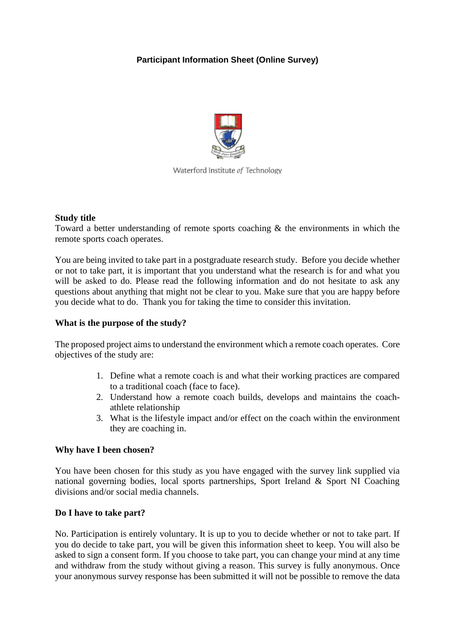# **Participant Information Sheet (Online Survey)**



Waterford Institute of Technology

#### **Study title**

Toward a better understanding of remote sports coaching & the environments in which the remote sports coach operates.

You are being invited to take part in a postgraduate research study. Before you decide whether or not to take part, it is important that you understand what the research is for and what you will be asked to do. Please read the following information and do not hesitate to ask any questions about anything that might not be clear to you. Make sure that you are happy before you decide what to do. Thank you for taking the time to consider this invitation.

#### **What is the purpose of the study?**

The proposed project aims to understand the environment which a remote coach operates. Core objectives of the study are:

- 1. Define what a remote coach is and what their working practices are compared to a traditional coach (face to face).
- 2. Understand how a remote coach builds, develops and maintains the coachathlete relationship
- 3. What is the lifestyle impact and/or effect on the coach within the environment they are coaching in.

#### **Why have I been chosen?**

You have been chosen for this study as you have engaged with the survey link supplied via national governing bodies, local sports partnerships, Sport Ireland & Sport NI Coaching divisions and/or social media channels.

#### **Do I have to take part?**

No. Participation is entirely voluntary. It is up to you to decide whether or not to take part. If you do decide to take part, you will be given this information sheet to keep. You will also be asked to sign a consent form. If you choose to take part, you can change your mind at any time and withdraw from the study without giving a reason. This survey is fully anonymous. Once your anonymous survey response has been submitted it will not be possible to remove the data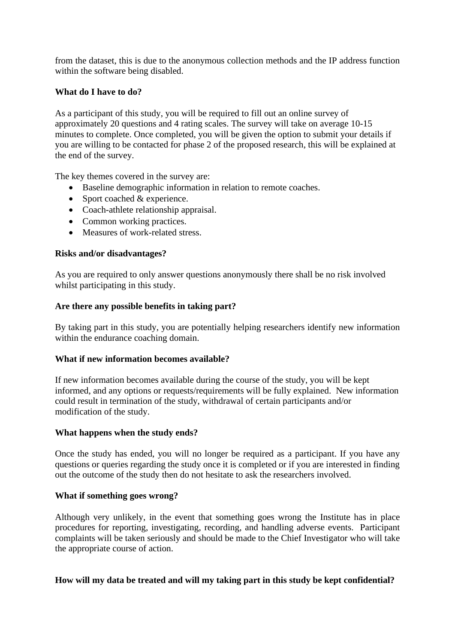from the dataset, this is due to the anonymous collection methods and the IP address function within the software being disabled.

#### **What do I have to do?**

As a participant of this study, you will be required to fill out an online survey of approximately 20 questions and 4 rating scales. The survey will take on average 10-15 minutes to complete. Once completed, you will be given the option to submit your details if you are willing to be contacted for phase 2 of the proposed research, this will be explained at the end of the survey.

The key themes covered in the survey are:

- Baseline demographic information in relation to remote coaches.
- Sport coached & experience.
- Coach-athlete relationship appraisal.
- Common working practices.
- Measures of work-related stress

# **Risks and/or disadvantages?**

As you are required to only answer questions anonymously there shall be no risk involved whilst participating in this study.

## **Are there any possible benefits in taking part?**

By taking part in this study, you are potentially helping researchers identify new information within the endurance coaching domain.

# **What if new information becomes available?**

If new information becomes available during the course of the study, you will be kept informed, and any options or requests/requirements will be fully explained. New information could result in termination of the study, withdrawal of certain participants and/or modification of the study.

# **What happens when the study ends?**

Once the study has ended, you will no longer be required as a participant. If you have any questions or queries regarding the study once it is completed or if you are interested in finding out the outcome of the study then do not hesitate to ask the researchers involved.

# **What if something goes wrong?**

Although very unlikely, in the event that something goes wrong the Institute has in place procedures for reporting, investigating, recording, and handling adverse events. Participant complaints will be taken seriously and should be made to the Chief Investigator who will take the appropriate course of action.

# **How will my data be treated and will my taking part in this study be kept confidential?**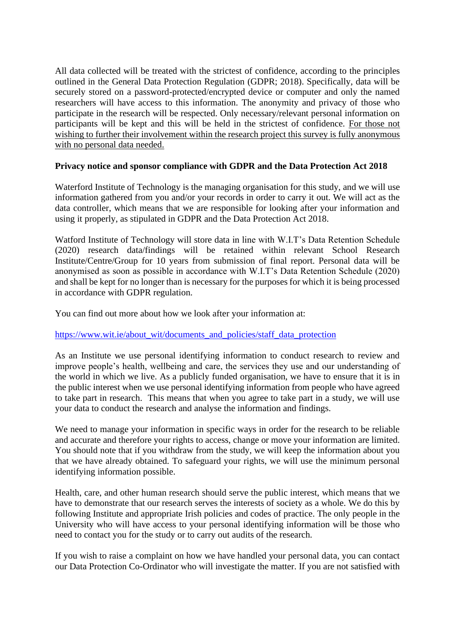All data collected will be treated with the strictest of confidence, according to the principles outlined in the General Data Protection Regulation (GDPR; 2018). Specifically, data will be securely stored on a password-protected/encrypted device or computer and only the named researchers will have access to this information. The anonymity and privacy of those who participate in the research will be respected. Only necessary/relevant personal information on participants will be kept and this will be held in the strictest of confidence. For those not wishing to further their involvement within the research project this survey is fully anonymous with no personal data needed.

# **Privacy notice and sponsor compliance with GDPR and the Data Protection Act 2018**

Waterford Institute of Technology is the managing organisation for this study, and we will use information gathered from you and/or your records in order to carry it out. We will act as the data controller, which means that we are responsible for looking after your information and using it properly, as stipulated in GDPR and the Data Protection Act 2018.

Watford Institute of Technology will store data in line with W.I.T's Data Retention Schedule (2020) research data/findings will be retained within relevant School Research Institute/Centre/Group for 10 years from submission of final report. Personal data will be anonymised as soon as possible in accordance with W.I.T's Data Retention Schedule (2020) and shall be kept for no longer than is necessary for the purposes for which it is being processed in accordance with GDPR regulation.

You can find out more about how we look after your information at:

#### [https://www.wit.ie/about\\_wit/documents\\_and\\_policies/staff\\_data\\_protection](https://www.wit.ie/about_wit/documents_and_policies/staff_data_protection)

As an Institute we use personal identifying information to conduct research to review and improve people's health, wellbeing and care, the services they use and our understanding of the world in which we live. As a publicly funded organisation, we have to ensure that it is in the public interest when we use personal identifying information from people who have agreed to take part in research. This means that when you agree to take part in a study, we will use your data to conduct the research and analyse the information and findings.

We need to manage your information in specific ways in order for the research to be reliable and accurate and therefore your rights to access, change or move your information are limited. You should note that if you withdraw from the study, we will keep the information about you that we have already obtained. To safeguard your rights, we will use the minimum personal identifying information possible.

Health, care, and other human research should serve the public interest, which means that we have to demonstrate that our research serves the interests of society as a whole. We do this by following Institute and appropriate Irish policies and codes of practice. The only people in the University who will have access to your personal identifying information will be those who need to contact you for the study or to carry out audits of the research.

If you wish to raise a complaint on how we have handled your personal data, you can contact our Data Protection Co-Ordinator who will investigate the matter. If you are not satisfied with